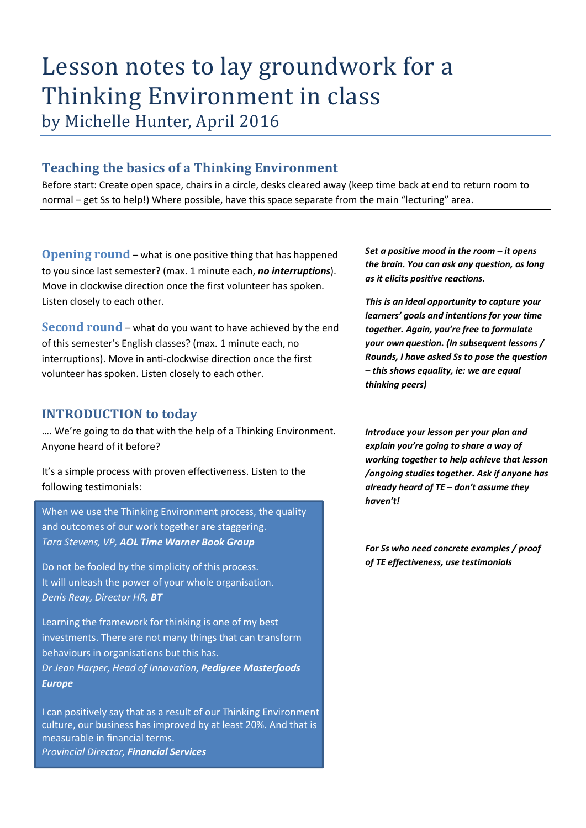# Lesson notes to lay groundwork for a Thinking Environment in class by Michelle Hunter, April 2016

# **Teaching the basics of a Thinking Environment**

Before start: Create open space, chairs in a circle, desks cleared away (keep time back at end to return room to normal – get Ss to help!) Where possible, have this space separate from the main "lecturing" area.

**Opening round** – what is one positive thing that has happened to you since last semester? (max. 1 minute each, *no interruptions*). Move in clockwise direction once the first volunteer has spoken. Listen closely to each other.

**Second round** – what do you want to have achieved by the end of this semester's English classes? (max. 1 minute each, no interruptions). Move in anti-clockwise direction once the first volunteer has spoken. Listen closely to each other.

## **INTRODUCTION to today**

…. We're going to do that with the help of a Thinking Environment. Anyone heard of it before?

It's a simple process with proven effectiveness. Listen to the following testimonials:

When we use the Thinking Environment process, the quality and outcomes of our work together are staggering. *Tara Stevens, VP, AOL Time Warner Book Group*

Do not be fooled by the simplicity of this process. It will unleash the power of your whole organisation. *Denis Reay, Director HR, BT*

Learning the framework for thinking is one of my best investments. There are not many things that can transform behaviours in organisations but this has. *Dr Jean Harper, Head of Innovation, Pedigree Masterfoods Europe*

I can positively say that as a result of our Thinking Environment culture, our business has improved by at least 20%. And that is measurable in financial terms. *Provincial Director, Financial Services*

*Set a positive mood in the room – it opens the brain. You can ask any question, as long as it elicits positive reactions.* 

*This is an ideal opportunity to capture your learners' goals and intentions for your time together. Again, you're free to formulate your own question. (In subsequent lessons / Rounds, I have asked Ss to pose the question – this shows equality, ie: we are equal thinking peers)*

*Introduce your lesson per your plan and explain you're going to share a way of working together to help achieve that lesson /ongoing studies together. Ask if anyone has already heard of TE – don't assume they haven't!* 

*For Ss who need concrete examples / proof of TE effectiveness, use testimonials*